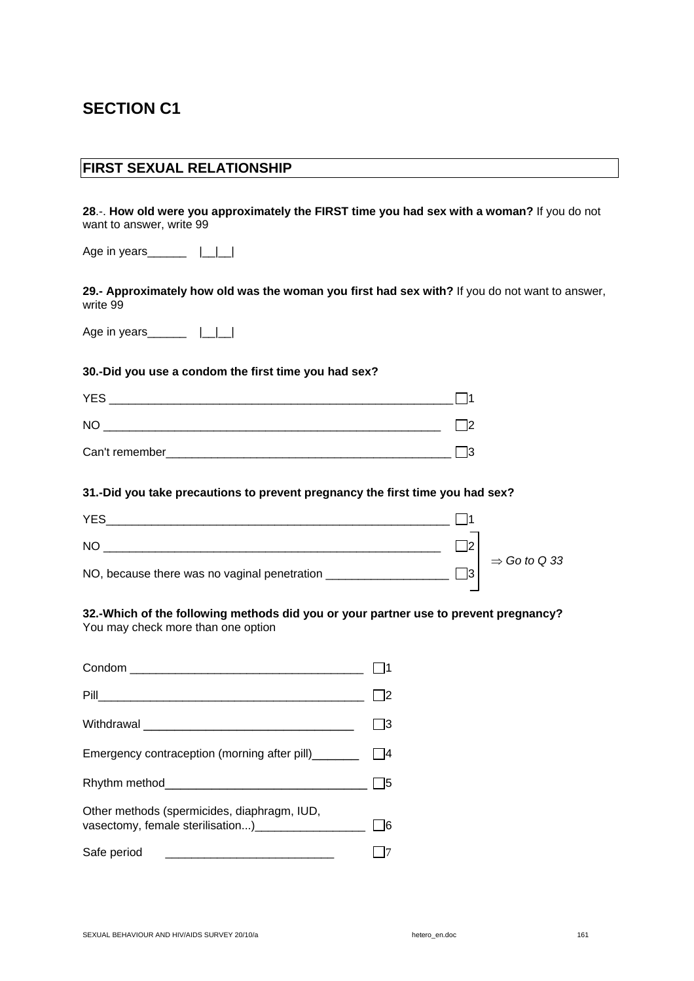# **SECTION C1**

### **FIRST SEXUAL RELATIONSHIP**

**28**.-. **How old were you approximately the FIRST time you had sex with a woman?** If you do not want to answer, write 99

Age in years\_\_\_\_\_\_\_  $|\_|\_$ 

**29.- Approximately how old was the woman you first had sex with?** If you do not want to answer, write 99

Age in years\_\_\_\_\_\_\_  $|\_|\_$ 

### **30.-Did you use a condom the first time you had sex?**

| <b>YES</b>     |  |
|----------------|--|
| <b>NO</b>      |  |
| Can't remember |  |

### **31.-Did you take precautions to prevent pregnancy the first time you had sex?**

| <b>YES</b>                                   |    |                          |
|----------------------------------------------|----|--------------------------|
| NO                                           | I٥ |                          |
| NO, because there was no vaginal penetration | lЗ | $\Rightarrow$ Go to Q 33 |

#### **32.-Which of the following methods did you or your partner use to prevent pregnancy?**  You may check more than one option

| Emergency contraception (morning after pill)_______                                                                                  |  |
|--------------------------------------------------------------------------------------------------------------------------------------|--|
|                                                                                                                                      |  |
| Other methods (spermicides, diaphragm, IUD,<br>vasectomy, female sterilisation) [14] vasectomy, female sterilisation                 |  |
| Safe period<br><u> 2000 - Jan James James James James James James James James James James James James James James James James Ja</u> |  |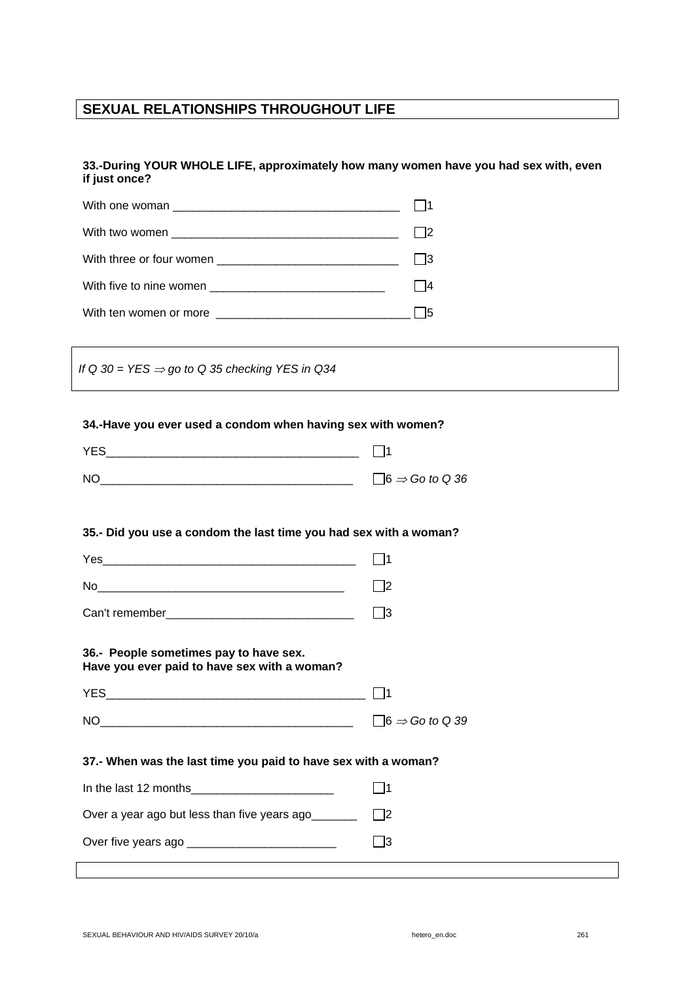### **SEXUAL RELATIONSHIPS THROUGHOUT LIFE**

### **33.-During YOUR WHOLE LIFE, approximately how many women have you had sex with, even if just once?**

*If Q 30 = YES* ⇒ *go to Q 35 checking YES in Q34* 

#### **34.-Have you ever used a condom when having sex with women?**

| <b>YES</b> |                                   |
|------------|-----------------------------------|
| <b>NC</b>  | $\Box$ 6 $\Rightarrow$ Go to Q 36 |

### **35.- Did you use a condom the last time you had sex with a woman?**

| Yes            |  |
|----------------|--|
| No             |  |
| Can't remember |  |

#### **36.- People sometimes pay to have sex. Have you ever paid to have sex with a woman?**

| VES |                                   |
|-----|-----------------------------------|
|     |                                   |
| NΟ  | $\Box$ 6 $\Rightarrow$ Go to Q 39 |

### **37.- When was the last time you paid to have sex with a woman?**

| In the last 12 months                        |      |
|----------------------------------------------|------|
| Over a year ago but less than five years ago | 12   |
| Over five years ago                          | l 13 |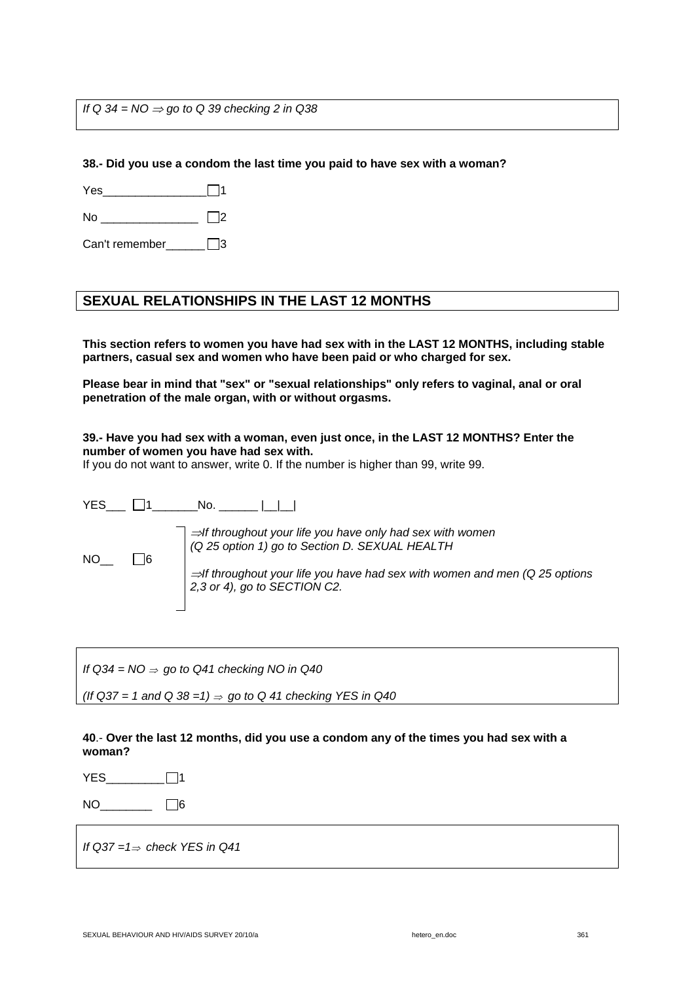*If* Q 34 = NO ⇒ go to Q 39 checking 2 in Q38

**38.- Did you use a condom the last time you paid to have sex with a woman?** 

| Y AC |  |
|------|--|
|      |  |

No  $\Box$ 2

Can't remember\_\_\_\_\_\_ 3

## **SEXUAL RELATIONSHIPS IN THE LAST 12 MONTHS**

**This section refers to women you have had sex with in the LAST 12 MONTHS, including stable partners, casual sex and women who have been paid or who charged for sex.** 

**Please bear in mind that "sex" or "sexual relationships" only refers to vaginal, anal or oral penetration of the male organ, with or without orgasms.** 

### **39.- Have you had sex with a woman, even just once, in the LAST 12 MONTHS? Enter the number of women you have had sex with.**

If you do not want to answer, write 0. If the number is higher than 99, write 99.

YES\_\_\_ 1\_\_\_\_\_\_\_No. \_\_\_\_\_\_ |\_\_|\_\_| <sup>⇒</sup>*If throughout your life you have only had sex with women (Q 25 option 1) go to Section D. SEXUAL HEALTH*  $NO_{-}$   $\Box$ 6 <sup>⇒</sup>*If throughout your life you have had sex with women and men (Q 25 options 2,3 or 4), go to SECTION C2.* 

*If Q34 = NO* ⇒ *go to Q41 checking NO in Q40* 

*(If Q37 = 1 and Q 38 =1)* ⇒ *go to Q 41 checking YES in Q40* 

#### **40**.- **Over the last 12 months, did you use a condom any of the times you had sex with a woman?**

 $YES$   $\Box$ 

 $NO$  6

*If Q37 =1*⇒ *check YES in Q41*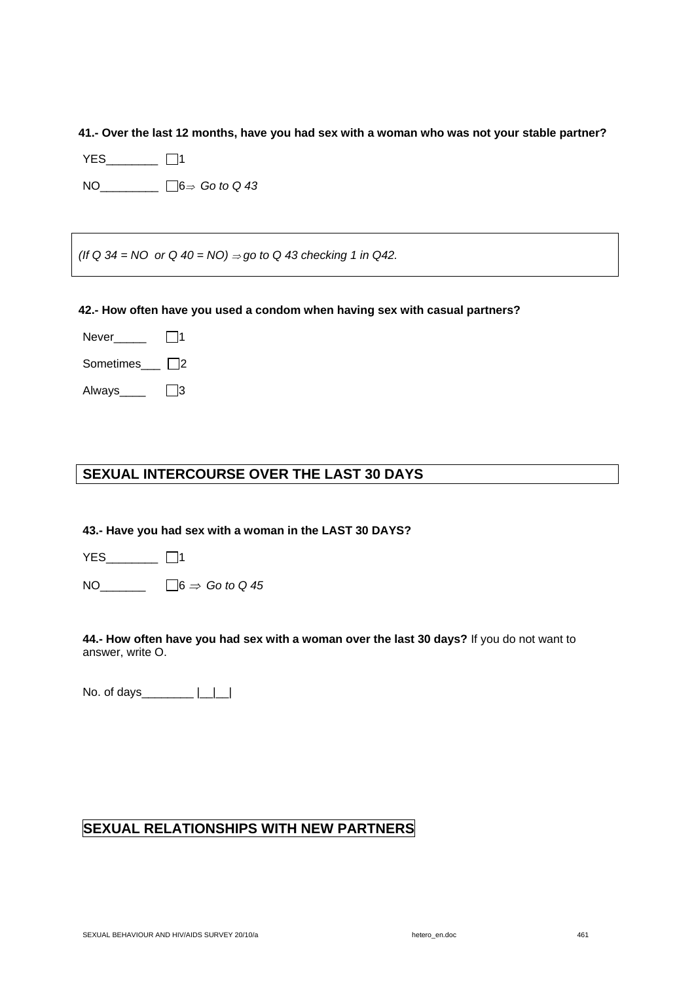**41.- Over the last 12 months, have you had sex with a woman who was not your stable partner?** 

YES\_\_\_\_\_\_\_\_ □1

NO\_\_\_\_\_\_\_\_\_ 6⇒ *Go to Q 43* 

*(If Q 34 = NO or Q 40 = NO) ⇒ go to Q 43 checking 1 in Q42.* 

### **42.- How often have you used a condom when having sex with casual partners?**

Never $\qquad \qquad \Box$ 1

Sometimes  $\Box$ 2

Always\_\_\_\_ $\Box$ 3

# **SEXUAL INTERCOURSE OVER THE LAST 30 DAYS**

**43.- Have you had sex with a woman in the LAST 30 DAYS?** 

YES\_\_\_\_\_\_\_\_ □1

NO\_\_\_\_\_\_\_ 6 ⇒ *Go to Q 45* 

**44.- How often have you had sex with a woman over the last 30 days?** If you do not want to answer, write O.

No. of days\_\_\_\_\_\_\_\_ |\_\_|\_\_|

# **SEXUAL RELATIONSHIPS WITH NEW PARTNERS**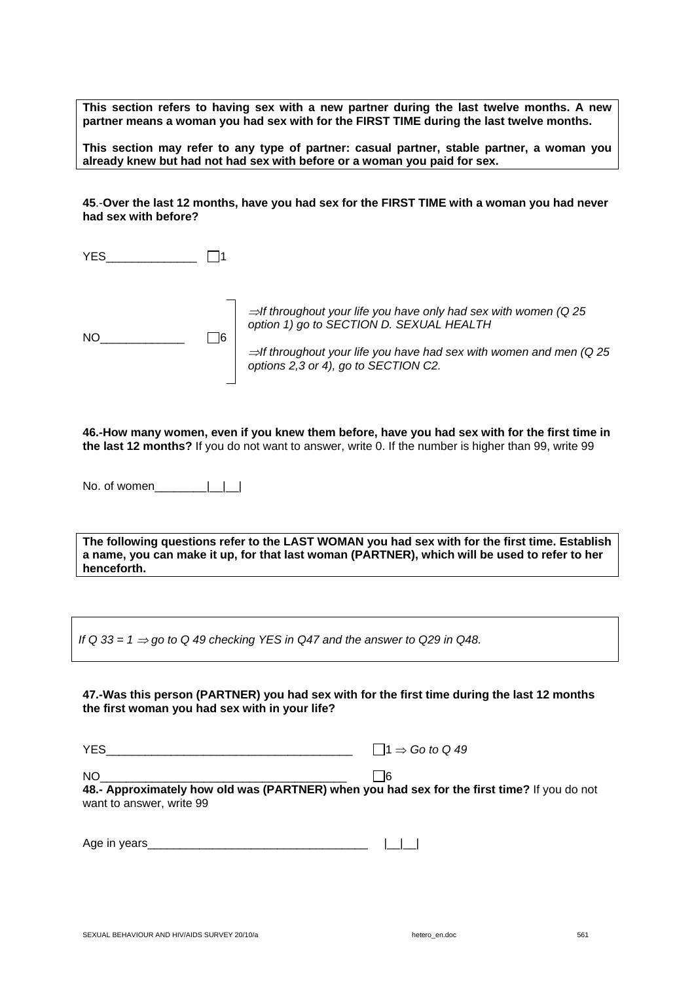**This section refers to having sex with a new partner during the last twelve months. A new partner means a woman you had sex with for the FIRST TIME during the last twelve months.** 

**This section may refer to any type of partner: casual partner, stable partner, a woman you already knew but had not had sex with before or a woman you paid for sex.** 

**45**.-**Over the last 12 months, have you had sex for the FIRST TIME with a woman you had never had sex with before?**

YES  $\Box$ 



<sup>⇒</sup>*If throughout your life you have only had sex with women (Q 25 option 1) go to SECTION D. SEXUAL HEALTH*

<sup>⇒</sup>*If throughout your life you have had sex with women and men (Q 25 options 2,3 or 4), go to SECTION C2.* 

**46.-How many women, even if you knew them before, have you had sex with for the first time in the last 12 months?** If you do not want to answer, write 0. If the number is higher than 99, write 99

No. of women $\Box$ 

**The following questions refer to the LAST WOMAN you had sex with for the first time. Establish a name, you can make it up, for that last woman (PARTNER), which will be used to refer to her henceforth.** 

If Q 33 =  $1 \Rightarrow$  go to Q 49 checking YES in Q47 and the answer to Q29 in Q48.

**47.-Was this person (PARTNER) you had sex with for the first time during the last 12 months the first woman you had sex with in your life?** 

YES\_\_\_\_\_\_\_\_\_\_\_\_\_\_\_\_\_\_\_\_\_\_\_\_\_\_\_\_\_\_\_\_\_\_\_\_\_\_ 1 ⇒ *Go to Q 49* 

NO\_\_\_\_\_\_\_\_\_\_\_\_\_\_\_\_\_\_\_\_\_\_\_\_\_\_\_\_\_\_\_\_\_\_\_\_\_\_ 6

**48.- Approximately how old was (PARTNER) when you had sex for the first time?** If you do not want to answer, write 99

| Age in<br>1000 |  |  |  |
|----------------|--|--|--|
|----------------|--|--|--|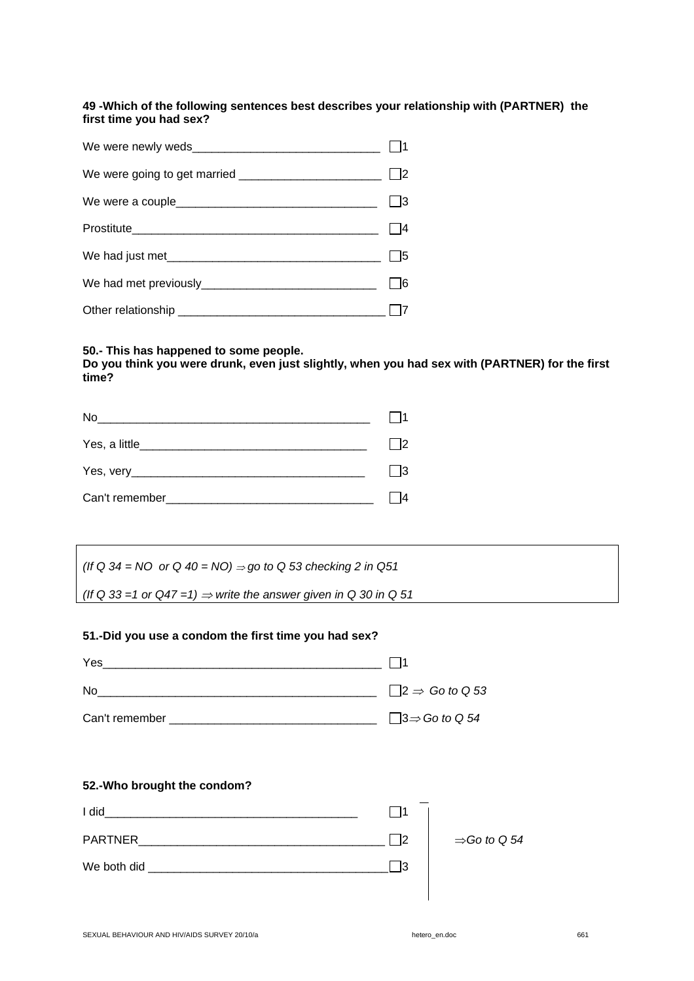### **49 -Which of the following sentences best describes your relationship with (PARTNER) the first time you had sex?**

| We had just met |  |
|-----------------|--|
|                 |  |
|                 |  |

### **50.- This has happened to some people.**

**Do you think you were drunk, even just slightly, when you had sex with (PARTNER) for the first time?** 

| No.<br><u> 1980 - Jan Barat, martin amerikan ba</u> |    |
|-----------------------------------------------------|----|
|                                                     |    |
|                                                     | I3 |
| Can't remember_______                               |    |

*(If Q 34 = NO or Q 40 = NO) ⇒ go to Q 53 checking 2 in Q51* 

(If Q 33 =1 or  $Q47 = 1$ )  $\Rightarrow$  write the answer given in Q 30 in Q 51

### **51.-Did you use a condom the first time you had sex?**

| Yes            |                                   |
|----------------|-----------------------------------|
| No.            | $\Box$ 2 $\Rightarrow$ Go to Q 53 |
| Can't remember | $\Box$ 3⇒ Go to Q 54              |

### **52.-Who brought the condom?**

| I did          |    |                          |
|----------------|----|--------------------------|
| <b>PARTNER</b> |    | $\Rightarrow$ Go to Q 54 |
| We both did    | מו |                          |
|                |    |                          |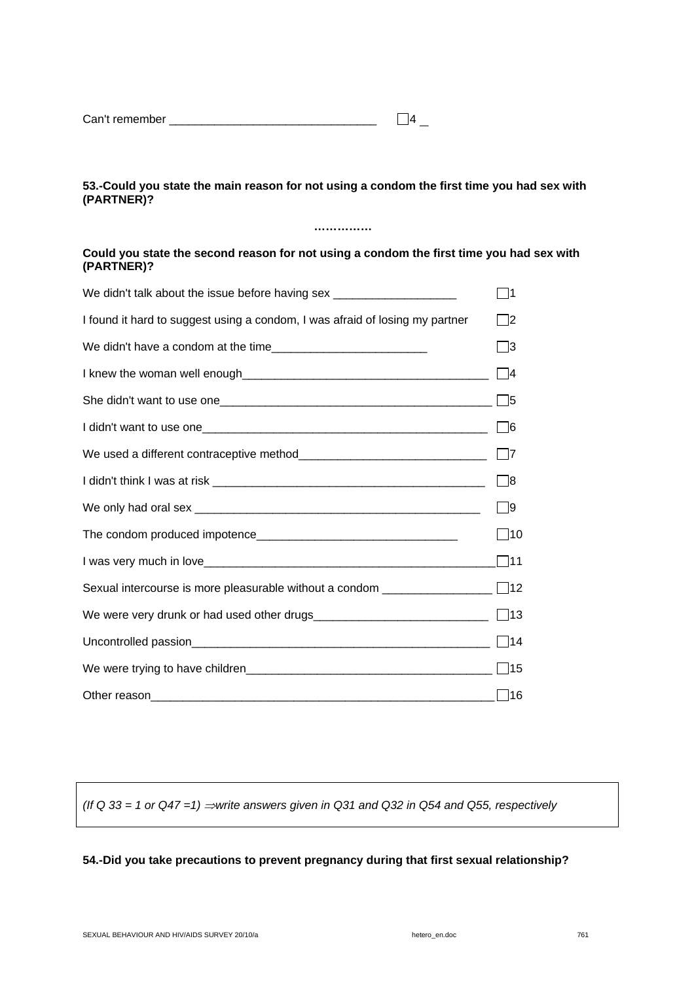| Can't remember |  |
|----------------|--|
|----------------|--|

### **53.-Could you state the main reason for not using a condom the first time you had sex with (PARTNER)?**

**……………** 

### **Could you state the second reason for not using a condom the first time you had sex with (PARTNER)?**

| We didn't talk about the issue before having sex _______________________________ | - 11        |
|----------------------------------------------------------------------------------|-------------|
| I found it hard to suggest using a condom, I was afraid of losing my partner     | □2          |
|                                                                                  | ∃3          |
|                                                                                  | $\vert$  4  |
|                                                                                  |             |
|                                                                                  | $\Box$ 6    |
|                                                                                  | $\Box$ 7    |
|                                                                                  | $\Box$ 8    |
|                                                                                  | $\Box$ 9    |
|                                                                                  | $\vert$  10 |
|                                                                                  | $\Box$ 11   |
|                                                                                  |             |
|                                                                                  |             |
|                                                                                  | $\Box$ 14   |
|                                                                                  |             |
|                                                                                  | $\Box$ 16   |

*(If Q 33 = 1 or Q47 =1)* ⇒*write answers given in Q31 and Q32 in Q54 and Q55, respectively* 

### **54.-Did you take precautions to prevent pregnancy during that first sexual relationship?**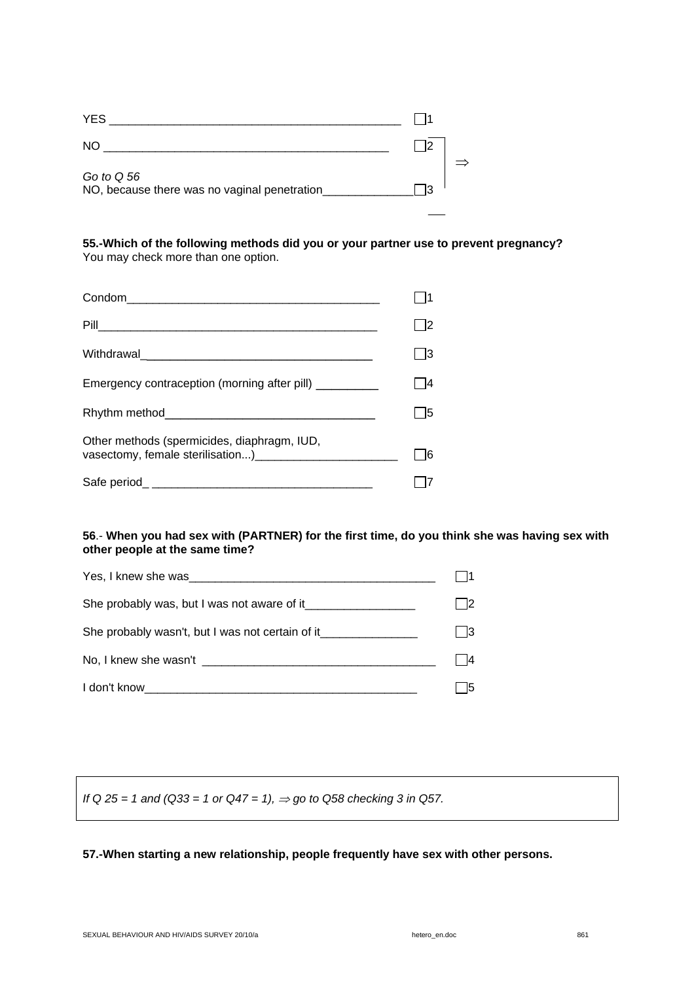| <b>YES</b>                                                 |    |  |
|------------------------------------------------------------|----|--|
| <b>NO</b>                                                  |    |  |
| Go to Q 56<br>NO, because there was no vaginal penetration | מו |  |

**55.-Which of the following methods did you or your partner use to prevent pregnancy?**  You may check more than one option.

| Emergency contraception (morning after pill) _________                                                               |  |
|----------------------------------------------------------------------------------------------------------------------|--|
|                                                                                                                      |  |
| Other methods (spermicides, diaphragm, IUD,<br>vasectomy, female sterilisation) [14] vasectomy, female sterilisation |  |
|                                                                                                                      |  |

### **56**.- **When you had sex with (PARTNER) for the first time, do you think she was having sex with other people at the same time?**

| Yes, I knew she was measured by the state of the state of the state of the state of the state of the state of the state of the state of the state of the state of the state of the state of the state of the state of the stat |               |
|--------------------------------------------------------------------------------------------------------------------------------------------------------------------------------------------------------------------------------|---------------|
| She probably was, but I was not aware of it                                                                                                                                                                                    | $\mathsf{I2}$ |
| She probably wasn't, but I was not certain of it________________________________                                                                                                                                               | l 13.         |
| No, I knew she wasn't help will be a series of the series of the series of the series of the series of the series of the series of the series of the series of the series of the series of the series of the series of the ser | 14            |
| I don't know                                                                                                                                                                                                                   | 15            |

*If* Q 25 = 1 and (Q33 = 1 or Q47 = 1), ⇒ go to Q58 checking 3 in Q57.

### **57.-When starting a new relationship, people frequently have sex with other persons.**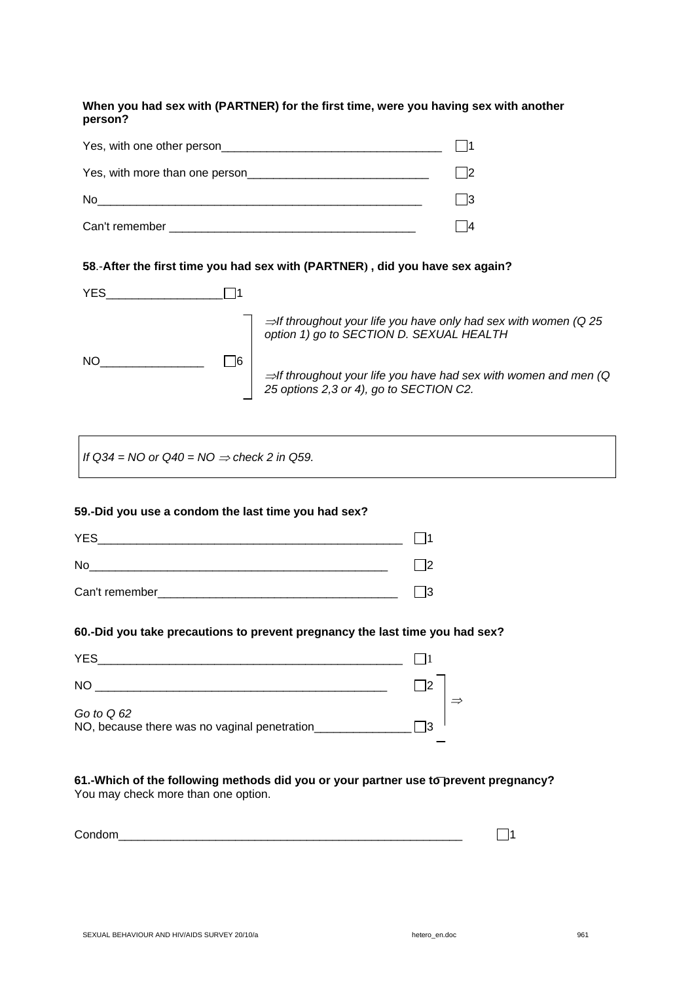**When you had sex with (PARTNER) for the first time, were you having sex with another person?** 

| Yes, with one other person     |  |
|--------------------------------|--|
| Yes, with more than one person |  |
| <b>No</b>                      |  |
| Can't remember                 |  |

### **58**.-**After the first time you had sex with (PARTNER) , did you have sex again?**

| YES.      |    |                                                                                                                          |
|-----------|----|--------------------------------------------------------------------------------------------------------------------------|
|           |    | $\Rightarrow$ If throughout your life you have only had sex with women (Q 25<br>option 1) go to SECTION D. SEXUAL HEALTH |
| <b>NO</b> | 16 | $\Rightarrow$ If throughout your life you have had sex with women and men (Q)<br>25 options 2,3 or 4), go to SECTION C2. |

*If Q34* = NO or Q40 = NO ⇒ *check 2 in Q59.* 

### **59.-Did you use a condom the last time you had sex?**

| <b>YES</b>     |  |
|----------------|--|
| No             |  |
| Can't remember |  |

### **60.-Did you take precautions to prevent pregnancy the last time you had sex?**

| <b>YES</b>                                                   |  |
|--------------------------------------------------------------|--|
| <b>NO</b>                                                    |  |
| Go to $Q$ 62<br>NO, because there was no vaginal penetration |  |

#### **61.-Which of the following methods did you or your partner use to prevent pregnancy?**  You may check more than one option.

| $\sqrt{2}$ |  |
|------------|--|
|            |  |